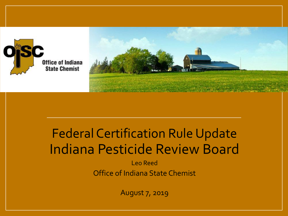



### Federal Certification Rule Update Indiana Pesticide Review Board

Leo Reed Office of Indiana State Chemist

August 7, 2019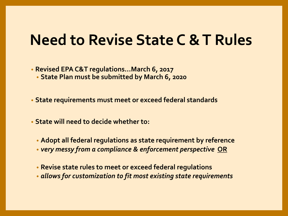### **Need to Revise State C & T Rules**

• **Revised EPA C&T regulations…March 6, 2017**

• **State Plan must be submitted by March 6, 2020**

• **State requirements must meet or exceed federal standards**

• **State will need to decide whether to:**

- **Adopt all federal regulations as state requirement by reference**
- *very messy from a compliance & enforcement perspective* **OR**
- **Revise state rules to meet or exceed federal regulations**
- *allows for customization to fit most existing state requirements*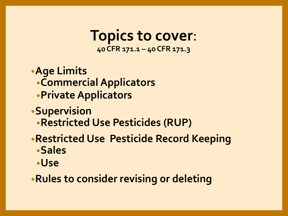**Topics to cover**: **40 CFR 171.1 – 40 CFR 171.3**

•**Age Limits** •**Commercial Applicators** •**Private Applicators**

- •**Supervision**
	- •**Restricted Use Pesticides (RUP)**
- •**Restricted Use Pesticide Record Keeping** •**Sales** 
	- •**Use**

•**Rules to consider revising or deleting**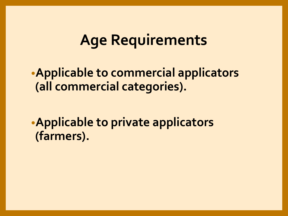### **Age Requirements**

•**Applicable to commercial applicators (all commercial categories).**

•**Applicable to private applicators (farmers).**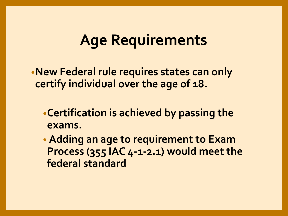## **Age Requirements**

•**New Federal rule requires states can only certify individual over the age of 18.**

- •**Certification is achieved by passing the exams.**
- **Adding an age to requirement to Exam Process (355 IAC 4-1-2.1) would meet the federal standard**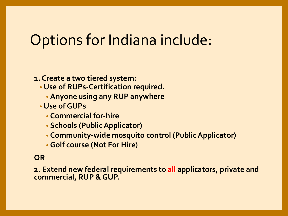## Options for Indiana include:

#### **1. Create a two tiered system:**

- **Use of RUPs-Certification required.**
	- **Anyone using any RUP anywhere**
- **Use of GUPs** 
	- **Commercial for-hire**
	- **Schools (Public Applicator)**
	- **Community-wide mosquito control (Public Applicator)**
	- **Golf course (Not For Hire)**

#### **OR**

**2. Extend new federal requirements to all applicators, private and commercial, RUP & GUP.**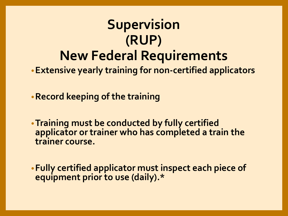## **Supervision (RUP) New Federal Requirements**

•**Extensive yearly training for non-certified applicators**

•**Record keeping of the training** 

•**Training must be conducted by fully certified applicator or trainer who has completed a train the trainer course.**

•**Fully certified applicator must inspect each piece of equipment prior to use (daily).\***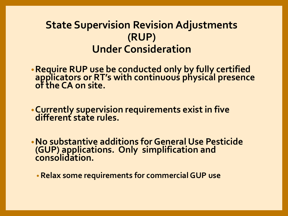### **State Supervision Revision Adjustments (RUP) Under Consideration**

- •**Require RUP use be conducted only by fully certified applicators or RT's with continuous physical presence of the CA on site.**
- •**Currently supervision requirements exist in five different state rules.**
- •**No substantive additions for General Use Pesticide (GUP) applications. Only simplification and consolidation.**
	- **Relax some requirements for commercial GUP use**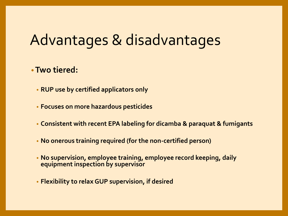## Advantages & disadvantages

#### •**Two tiered:**

- **RUP use by certified applicators only**
- **Focuses on more hazardous pesticides**
- **Consistent with recent EPA labeling for dicamba & paraquat & fumigants**
- **No onerous training required (for the non-certified person)**
- **No supervision, employee training, employee record keeping, daily equipment inspection by supervisor**
- **Flexibility to relax GUP supervision, if desired**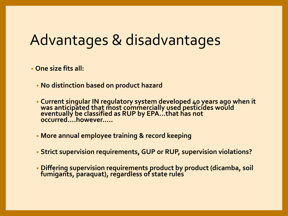## Advantages & disadvantages

• **One size fits all:**

- **No distinction based on product hazard**
- **Current singular IN regulatory system developed 40 years ago when it was anticipated that most commercially used pesticides would eventually be classified as RUP by EPA…that has not occurred….however…..**
- **More annual employee training & record keeping**
- **Strict supervision requirements, GUP or RUP, supervision violations?**
- **Differing supervision requirements product by product (dicamba, soil fumigants, paraquat), regardless of state rules**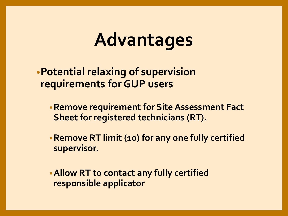# **Advantages**

•**Potential relaxing of supervision requirements for GUP users** 

- •**Remove requirement for Site Assessment Fact Sheet for registered technicians (RT).**
- •**Remove RT limit (10) for any one fully certified supervisor.**

•**Allow RT to contact any fully certified responsible applicator**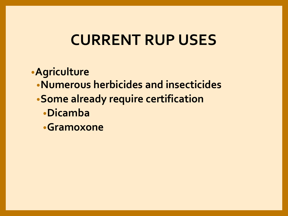## **CURRENT RUP USES**

•**Agriculture**

- •**Numerous herbicides and insecticides**
- •**Some already require certification**
	- •**Dicamba**
	- •**Gramoxone**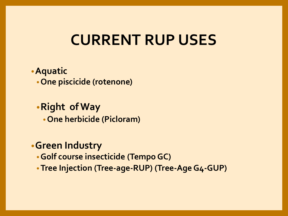## **CURRENT RUP USES**

#### •**Aquatic** •**One piscicide (rotenone)**

#### •**Right of Way**

•**One herbicide (Picloram)**

#### •**Green Industry**

- •**Golf course insecticide (Tempo GC)**
- •**Tree Injection (Tree-age-RUP) (Tree-Age G4-GUP)**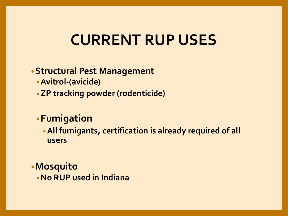## **CURRENT RUP USES**

#### •**Structural Pest Management**

- •**Avitrol-(avicide)**
- •**ZP tracking powder (rodenticide)**

### •**Fumigation**

•**All fumigants, certification is already required of all users**

•**Mosquito**

•**No RUP used in Indiana**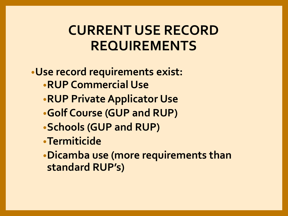### **CURRENT USE RECORD REQUIREMENTS**

•**Use record requirements exist:** •**RUP Commercial Use** •**RUP Private Applicator Use** •**Golf Course (GUP and RUP)** •**Schools (GUP and RUP)** •**Termiticide** •**Dicamba use (more requirements than standard RUP's)**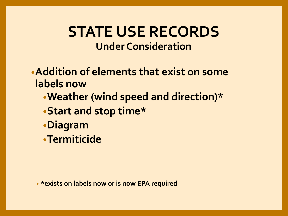### **STATE USE RECORDS Under Consideration**

- •**Addition of elements that exist on some labels now**
	- •**Weather (wind speed and direction)\***
	- •**Start and stop time\***
	- •**Diagram**
	- •**Termiticide**

• **\*exists on labels now or is now EPA required**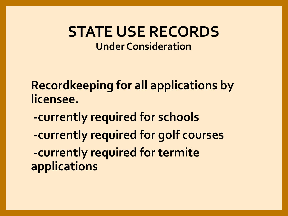### **STATE USE RECORDS Under Consideration**

**Recordkeeping for all applications by licensee.**

- **-currently required for schools**
- **-currently required for golf courses -currently required for termite applications**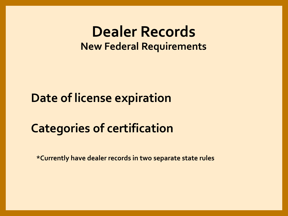### **Dealer Records New Federal Requirements**

### **Date of license expiration**

### **Categories of certification**

**\*Currently have dealer records in two separate state rules**